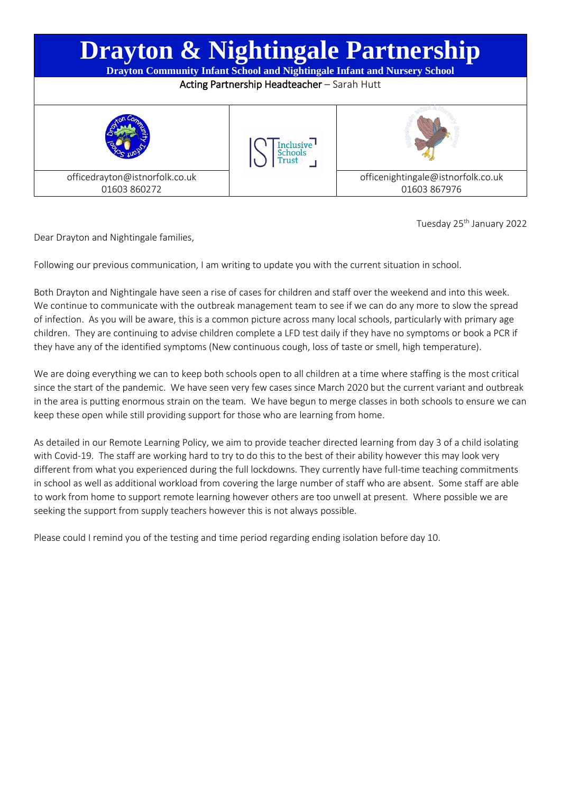

Tuesday 25<sup>th</sup> January 2022

Dear Drayton and Nightingale families,

Following our previous communication, I am writing to update you with the current situation in school.

Both Drayton and Nightingale have seen a rise of cases for children and staff over the weekend and into this week. We continue to communicate with the outbreak management team to see if we can do any more to slow the spread of infection. As you will be aware, this is a common picture across many local schools, particularly with primary age children. They are continuing to advise children complete a LFD test daily if they have no symptoms or book a PCR if they have any of the identified symptoms (New continuous cough, loss of taste or smell, high temperature).

We are doing everything we can to keep both schools open to all children at a time where staffing is the most critical since the start of the pandemic. We have seen very few cases since March 2020 but the current variant and outbreak in the area is putting enormous strain on the team. We have begun to merge classes in both schools to ensure we can keep these open while still providing support for those who are learning from home.

As detailed in our Remote Learning Policy, we aim to provide teacher directed learning from day 3 of a child isolating with Covid-19. The staff are working hard to try to do this to the best of their ability however this may look very different from what you experienced during the full lockdowns. They currently have full-time teaching commitments in school as well as additional workload from covering the large number of staff who are absent. Some staff are able to work from home to support remote learning however others are too unwell at present. Where possible we are seeking the support from supply teachers however this is not always possible.

Please could I remind you of the testing and time period regarding ending isolation before day 10.